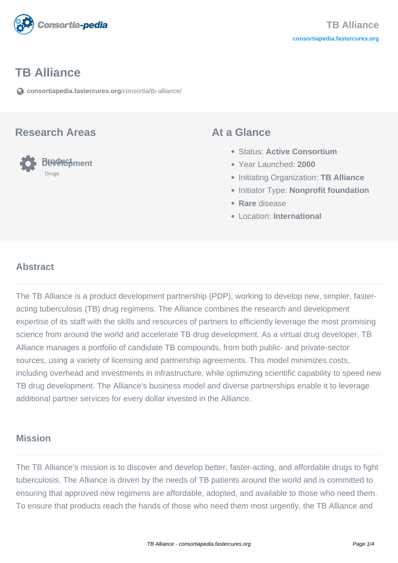

## **TB Alliance**

**[consortiapedia.fastercures.org](https://consortiapedia.fastercures.org/consortia/tb-alliance/)**[/consortia/tb-alliance/](https://consortiapedia.fastercures.org/consortia/tb-alliance/)

#### **Research Areas**



#### **At a Glance**

- Status: **Active Consortium**
- Year Launched: **2000**
- Initiating Organization: **TB Alliance**
- **Initiator Type: Nonprofit foundation**
- **Rare** disease
- Location: **International**

#### $\overline{a}$ **Abstract**

The TB Alliance is a product development partnership (PDP), working to develop new, simpler, fasteracting tuberculosis (TB) drug regimens. The Alliance combines the research and development expertise of its staff with the skills and resources of partners to efficiently leverage the most promising science from around the world and accelerate TB drug development. As a virtual drug developer, TB Alliance manages a portfolio of candidate TB compounds, from both public- and private-sector sources, using a variety of licensing and partnership agreements. This model minimizes costs, including overhead and investments in infrastructure, while optimizing scientific capability to speed new TB drug development. The Alliance's business model and diverse partnerships enable it to leverage additional partner services for every dollar invested in the Alliance.

## **Mission**

The TB Alliance's mission is to discover and develop better, faster-acting, and affordable drugs to fight tuberculosis. The Alliance is driven by the needs of TB patients around the world and is committed to ensuring that approved new regimens are affordable, adopted, and available to those who need them. To ensure that products reach the hands of those who need them most urgently, the TB Alliance and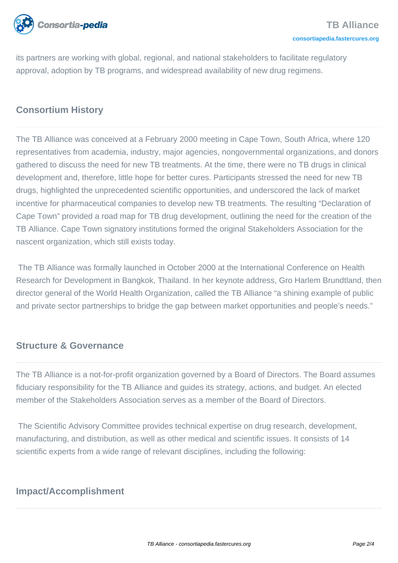

its partners are working with global, regional, and national stakeholders to facilitate regulatory approval, adoption by TB programs, and widespread availability of new drug regimens.

## **Consortium History**

The TB Alliance was conceived at a February 2000 meeting in Cape Town, South Africa, where 120 representatives from academia, industry, major agencies, nongovernmental organizations, and donors gathered to discuss the need for new TB treatments. At the time, there were no TB drugs in clinical development and, therefore, little hope for better cures. Participants stressed the need for new TB drugs, highlighted the unprecedented scientific opportunities, and underscored the lack of market incentive for pharmaceutical companies to develop new TB treatments. The resulting "Declaration of Cape Town" provided a road map for TB drug development, outlining the need for the creation of the TB Alliance. Cape Town signatory institutions formed the original Stakeholders Association for the nascent organization, which still exists today.

 The TB Alliance was formally launched in October 2000 at the International Conference on Health Research for Development in Bangkok, Thailand. In her keynote address, Gro Harlem Brundtland, then director general of the World Health Organization, called the TB Alliance "a shining example of public and private sector partnerships to bridge the gap between market opportunities and people's needs."

### **Structure & Governance**

The TB Alliance is a not-for-profit organization governed by a Board of Directors. The Board assumes fiduciary responsibility for the TB Alliance and guides its strategy, actions, and budget. An elected member of the Stakeholders Association serves as a member of the Board of Directors.

 The Scientific Advisory Committee provides technical expertise on drug research, development, manufacturing, and distribution, as well as other medical and scientific issues. It consists of 14 scientific experts from a wide range of relevant disciplines, including the following:

## **Impact/Accomplishment**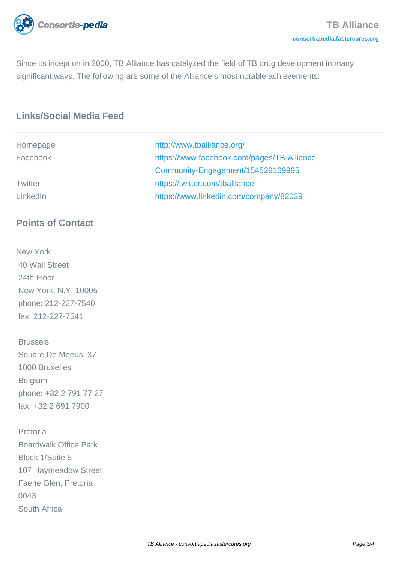

Since its inception in 2000, TB Alliance has catalyzed the field of TB drug development in many significant ways. The following are some of the Alliance's most notable achievements:

# **Links/Social Media Feed**

| Homepage | http://www.tballiance.org/                  |
|----------|---------------------------------------------|
| Facebook | https://www.facebook.com/pages/TB-Alliance- |
|          | Community-Engagement/154529169995           |
| Twitter  | https://twitter.com/tballiance              |
| LinkedIn | https://www.linkedin.com/company/82039      |

## **Points of Contact**

New York 40 Wall Street 24th Floor New York, N.Y. 10005 phone: 212-227-7540 fax: 212-227-7541

 Brussels Square De Meeus, 37 1000 Bruxelles **Belgium**  phone: +32 2 791 77 27 fax: +32 2 691 7900

 Pretoria Boardwalk Office Park Block 1/Suite 5 107 Haymeadow Street Faerie Glen, Pretoria 0043 South Africa